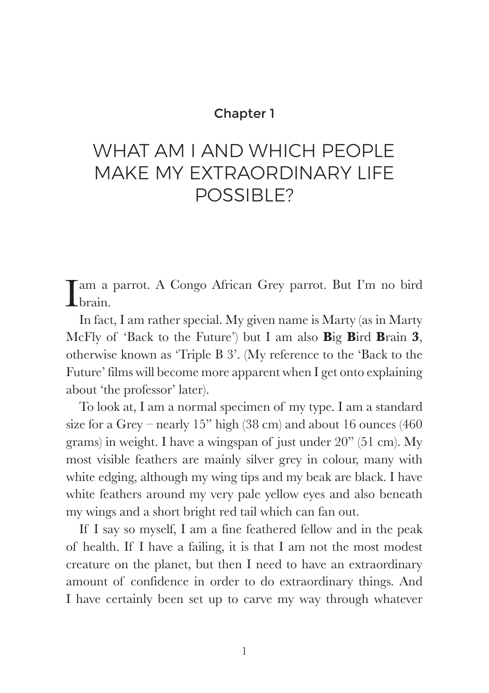## Chapter 1

# WHAT AM I AND WHICH PFOPLE MAKE MY EXTRAORDINARY LIFE POSSIBLE?

I am a parrot. A Congo African Grey parrot. But I'm no bird I brain.

In fact, I am rather special. My given name is Marty (as in Marty McFly of 'Back to the Future') but I am also **B**ig **B**ird **B**rain **3**, otherwise known as 'Triple B 3'. (My reference to the 'Back to the Future' films will become more apparent when I get onto explaining about 'the professor' later).

To look at, I am a normal specimen of my type. I am a standard size for a Grey – nearly 15" high (38 cm) and about 16 ounces (460 grams) in weight. I have a wingspan of just under 20" (51 cm). My most visible feathers are mainly silver grey in colour, many with white edging, although my wing tips and my beak are black. I have white feathers around my very pale yellow eyes and also beneath my wings and a short bright red tail which can fan out.

If I say so myself, I am a fine feathered fellow and in the peak of health. If I have a failing, it is that I am not the most modest creature on the planet, but then I need to have an extraordinary amount of confidence in order to do extraordinary things. And I have certainly been set up to carve my way through whatever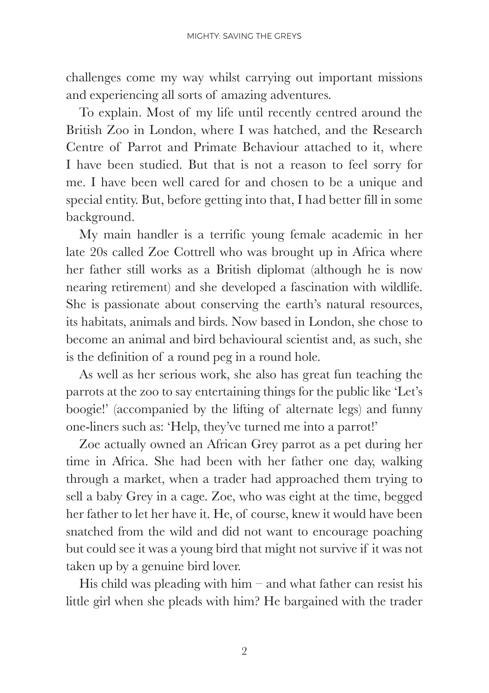challenges come my way whilst carrying out important missions and experiencing all sorts of amazing adventures.

To explain. Most of my life until recently centred around the British Zoo in London, where I was hatched, and the Research Centre of Parrot and Primate Behaviour attached to it, where I have been studied. But that is not a reason to feel sorry for me. I have been well cared for and chosen to be a unique and special entity. But, before getting into that, I had better fill in some background.

My main handler is a terrific young female academic in her late 20s called Zoe Cottrell who was brought up in Africa where her father still works as a British diplomat (although he is now nearing retirement) and she developed a fascination with wildlife. She is passionate about conserving the earth's natural resources, its habitats, animals and birds. Now based in London, she chose to become an animal and bird behavioural scientist and, as such, she is the definition of a round peg in a round hole.

As well as her serious work, she also has great fun teaching the parrots at the zoo to say entertaining things for the public like 'Let's boogie!' (accompanied by the lifting of alternate legs) and funny one-liners such as: 'Help, they've turned me into a parrot!'

Zoe actually owned an African Grey parrot as a pet during her time in Africa. She had been with her father one day, walking through a market, when a trader had approached them trying to sell a baby Grey in a cage. Zoe, who was eight at the time, begged her father to let her have it. He, of course, knew it would have been snatched from the wild and did not want to encourage poaching but could see it was a young bird that might not survive if it was not taken up by a genuine bird lover.

His child was pleading with him – and what father can resist his little girl when she pleads with him? He bargained with the trader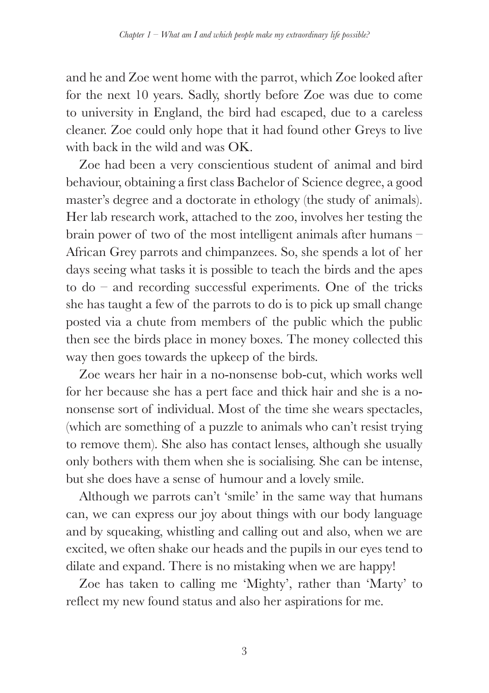and he and Zoe went home with the parrot, which Zoe looked after for the next 10 years. Sadly, shortly before Zoe was due to come to university in England, the bird had escaped, due to a careless cleaner. Zoe could only hope that it had found other Greys to live with back in the wild and was OK.

Zoe had been a very conscientious student of animal and bird behaviour, obtaining a first class Bachelor of Science degree, a good master's degree and a doctorate in ethology (the study of animals). Her lab research work, attached to the zoo, involves her testing the brain power of two of the most intelligent animals after humans – African Grey parrots and chimpanzees. So, she spends a lot of her days seeing what tasks it is possible to teach the birds and the apes to do – and recording successful experiments. One of the tricks she has taught a few of the parrots to do is to pick up small change posted via a chute from members of the public which the public then see the birds place in money boxes. The money collected this way then goes towards the upkeep of the birds.

Zoe wears her hair in a no-nonsense bob-cut, which works well for her because she has a pert face and thick hair and she is a nononsense sort of individual. Most of the time she wears spectacles, (which are something of a puzzle to animals who can't resist trying to remove them). She also has contact lenses, although she usually only bothers with them when she is socialising. She can be intense, but she does have a sense of humour and a lovely smile.

Although we parrots can't 'smile' in the same way that humans can, we can express our joy about things with our body language and by squeaking, whistling and calling out and also, when we are excited, we often shake our heads and the pupils in our eyes tend to dilate and expand. There is no mistaking when we are happy!

Zoe has taken to calling me 'Mighty', rather than 'Marty' to reflect my new found status and also her aspirations for me.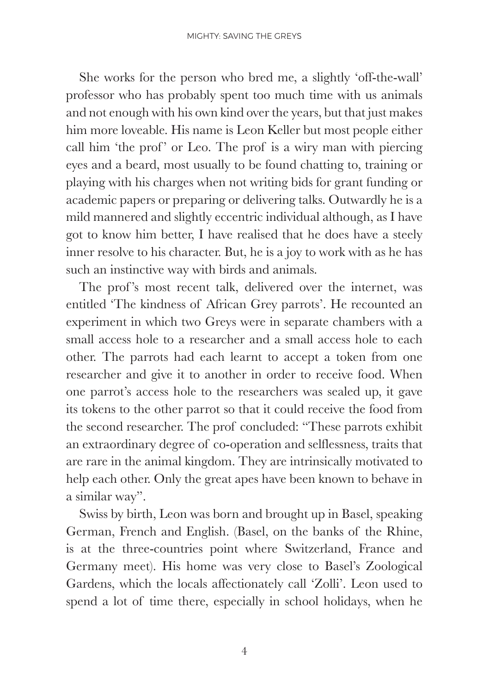She works for the person who bred me, a slightly 'off-the-wall' professor who has probably spent too much time with us animals and not enough with his own kind over the years, but that just makes him more loveable. His name is Leon Keller but most people either call him 'the prof' or Leo. The prof is a wiry man with piercing eyes and a beard, most usually to be found chatting to, training or playing with his charges when not writing bids for grant funding or academic papers or preparing or delivering talks. Outwardly he is a mild mannered and slightly eccentric individual although, as I have got to know him better, I have realised that he does have a steely inner resolve to his character. But, he is a joy to work with as he has such an instinctive way with birds and animals.

The prof's most recent talk, delivered over the internet, was entitled 'The kindness of African Grey parrots'. He recounted an experiment in which two Greys were in separate chambers with a small access hole to a researcher and a small access hole to each other. The parrots had each learnt to accept a token from one researcher and give it to another in order to receive food. When one parrot's access hole to the researchers was sealed up, it gave its tokens to the other parrot so that it could receive the food from the second researcher. The prof concluded: "These parrots exhibit an extraordinary degree of co-operation and selflessness, traits that are rare in the animal kingdom. They are intrinsically motivated to help each other. Only the great apes have been known to behave in a similar way".

Swiss by birth, Leon was born and brought up in Basel, speaking German, French and English. (Basel, on the banks of the Rhine, is at the three-countries point where Switzerland, France and Germany meet). His home was very close to Basel's Zoological Gardens, which the locals affectionately call 'Zolli'. Leon used to spend a lot of time there, especially in school holidays, when he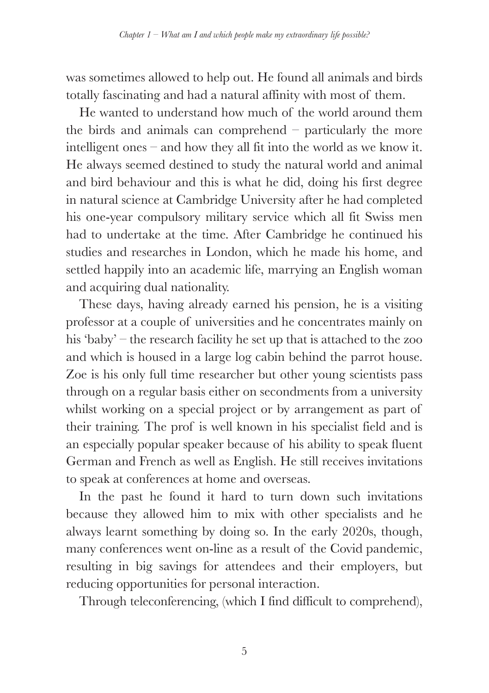was sometimes allowed to help out. He found all animals and birds totally fascinating and had a natural affinity with most of them.

He wanted to understand how much of the world around them the birds and animals can comprehend – particularly the more intelligent ones – and how they all fit into the world as we know it. He always seemed destined to study the natural world and animal and bird behaviour and this is what he did, doing his first degree in natural science at Cambridge University after he had completed his one-year compulsory military service which all fit Swiss men had to undertake at the time. After Cambridge he continued his studies and researches in London, which he made his home, and settled happily into an academic life, marrying an English woman and acquiring dual nationality.

These days, having already earned his pension, he is a visiting professor at a couple of universities and he concentrates mainly on his 'baby' – the research facility he set up that is attached to the zoo and which is housed in a large log cabin behind the parrot house. Zoe is his only full time researcher but other young scientists pass through on a regular basis either on secondments from a university whilst working on a special project or by arrangement as part of their training. The prof is well known in his specialist field and is an especially popular speaker because of his ability to speak fluent German and French as well as English. He still receives invitations to speak at conferences at home and overseas.

In the past he found it hard to turn down such invitations because they allowed him to mix with other specialists and he always learnt something by doing so. In the early 2020s, though, many conferences went on-line as a result of the Covid pandemic, resulting in big savings for attendees and their employers, but reducing opportunities for personal interaction.

Through teleconferencing, (which I find difficult to comprehend),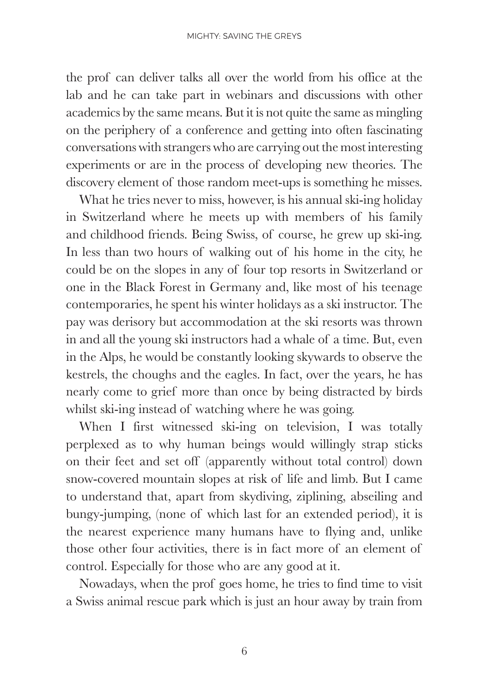the prof can deliver talks all over the world from his office at the lab and he can take part in webinars and discussions with other academics by the same means. But it is not quite the same as mingling on the periphery of a conference and getting into often fascinating conversations with strangers who are carrying out the most interesting experiments or are in the process of developing new theories. The discovery element of those random meet-ups is something he misses.

What he tries never to miss, however, is his annual ski-ing holiday in Switzerland where he meets up with members of his family and childhood friends. Being Swiss, of course, he grew up ski-ing. In less than two hours of walking out of his home in the city, he could be on the slopes in any of four top resorts in Switzerland or one in the Black Forest in Germany and, like most of his teenage contemporaries, he spent his winter holidays as a ski instructor. The pay was derisory but accommodation at the ski resorts was thrown in and all the young ski instructors had a whale of a time. But, even in the Alps, he would be constantly looking skywards to observe the kestrels, the choughs and the eagles. In fact, over the years, he has nearly come to grief more than once by being distracted by birds whilst ski-ing instead of watching where he was going.

When I first witnessed ski-ing on television, I was totally perplexed as to why human beings would willingly strap sticks on their feet and set off (apparently without total control) down snow-covered mountain slopes at risk of life and limb. But I came to understand that, apart from skydiving, ziplining, abseiling and bungy-jumping, (none of which last for an extended period), it is the nearest experience many humans have to flying and, unlike those other four activities, there is in fact more of an element of control. Especially for those who are any good at it.

Nowadays, when the prof goes home, he tries to find time to visit a Swiss animal rescue park which is just an hour away by train from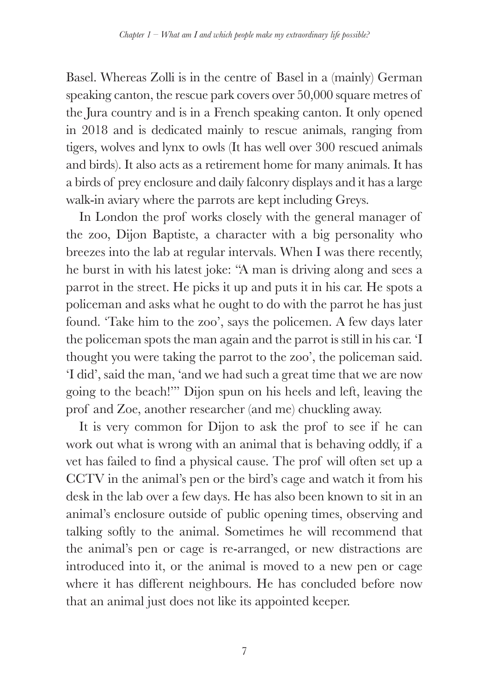Basel. Whereas Zolli is in the centre of Basel in a (mainly) German speaking canton, the rescue park covers over 50,000 square metres of the Jura country and is in a French speaking canton. It only opened in 2018 and is dedicated mainly to rescue animals, ranging from tigers, wolves and lynx to owls (It has well over 300 rescued animals and birds). It also acts as a retirement home for many animals. It has a birds of prey enclosure and daily falconry displays and it has a large walk-in aviary where the parrots are kept including Greys.

In London the prof works closely with the general manager of the zoo, Dijon Baptiste, a character with a big personality who breezes into the lab at regular intervals. When I was there recently, he burst in with his latest joke: "A man is driving along and sees a parrot in the street. He picks it up and puts it in his car. He spots a policeman and asks what he ought to do with the parrot he has just found. 'Take him to the zoo', says the policemen. A few days later the policeman spots the man again and the parrot is still in his car. 'I thought you were taking the parrot to the zoo', the policeman said. 'I did', said the man, 'and we had such a great time that we are now going to the beach!'" Dijon spun on his heels and left, leaving the prof and Zoe, another researcher (and me) chuckling away.

It is very common for Dijon to ask the prof to see if he can work out what is wrong with an animal that is behaving oddly, if a vet has failed to find a physical cause. The prof will often set up a CCTV in the animal's pen or the bird's cage and watch it from his desk in the lab over a few days. He has also been known to sit in an animal's enclosure outside of public opening times, observing and talking softly to the animal. Sometimes he will recommend that the animal's pen or cage is re-arranged, or new distractions are introduced into it, or the animal is moved to a new pen or cage where it has different neighbours. He has concluded before now that an animal just does not like its appointed keeper.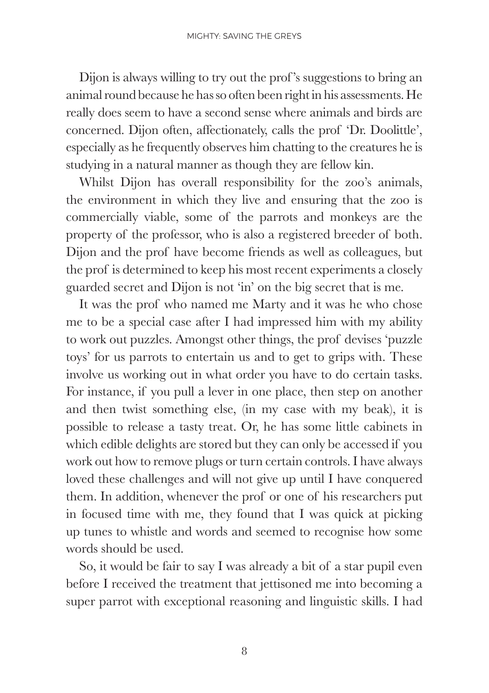Dijon is always willing to try out the prof 's suggestions to bring an animal round because he has so often been right in his assessments. He really does seem to have a second sense where animals and birds are concerned. Dijon often, affectionately, calls the prof 'Dr. Doolittle', especially as he frequently observes him chatting to the creatures he is studying in a natural manner as though they are fellow kin.

Whilst Dijon has overall responsibility for the zoo's animals, the environment in which they live and ensuring that the zoo is commercially viable, some of the parrots and monkeys are the property of the professor, who is also a registered breeder of both. Dijon and the prof have become friends as well as colleagues, but the prof is determined to keep his most recent experiments a closely guarded secret and Dijon is not 'in' on the big secret that is me.

It was the prof who named me Marty and it was he who chose me to be a special case after I had impressed him with my ability to work out puzzles. Amongst other things, the prof devises 'puzzle toys' for us parrots to entertain us and to get to grips with. These involve us working out in what order you have to do certain tasks. For instance, if you pull a lever in one place, then step on another and then twist something else, (in my case with my beak), it is possible to release a tasty treat. Or, he has some little cabinets in which edible delights are stored but they can only be accessed if you work out how to remove plugs or turn certain controls. I have always loved these challenges and will not give up until I have conquered them. In addition, whenever the prof or one of his researchers put in focused time with me, they found that I was quick at picking up tunes to whistle and words and seemed to recognise how some words should be used.

So, it would be fair to say I was already a bit of a star pupil even before I received the treatment that jettisoned me into becoming a super parrot with exceptional reasoning and linguistic skills. I had